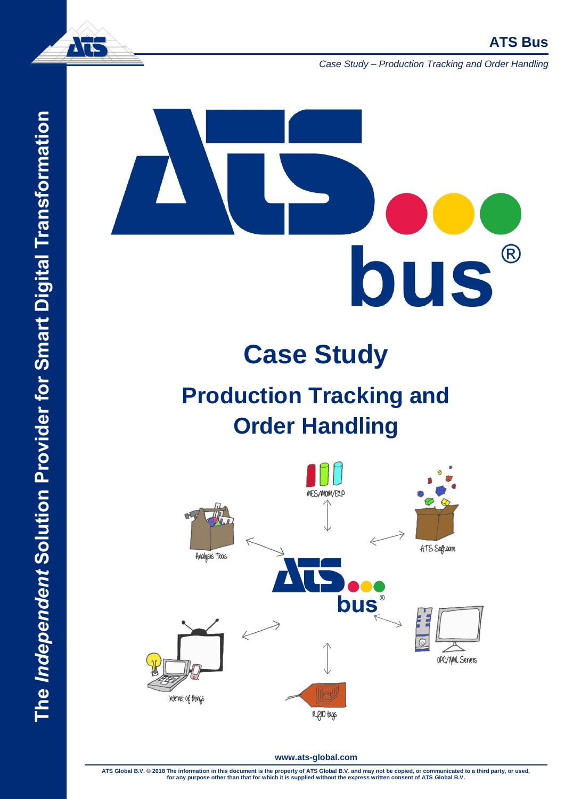

*Case Study – Production Tracking and Order Handling*

# The Independent Solution Provider for Smart Digital Transformation **The** *Independent* **Solution Provider for Smart Digital Transformation**



# **Case Study**

# **Production Tracking and Order Handling**

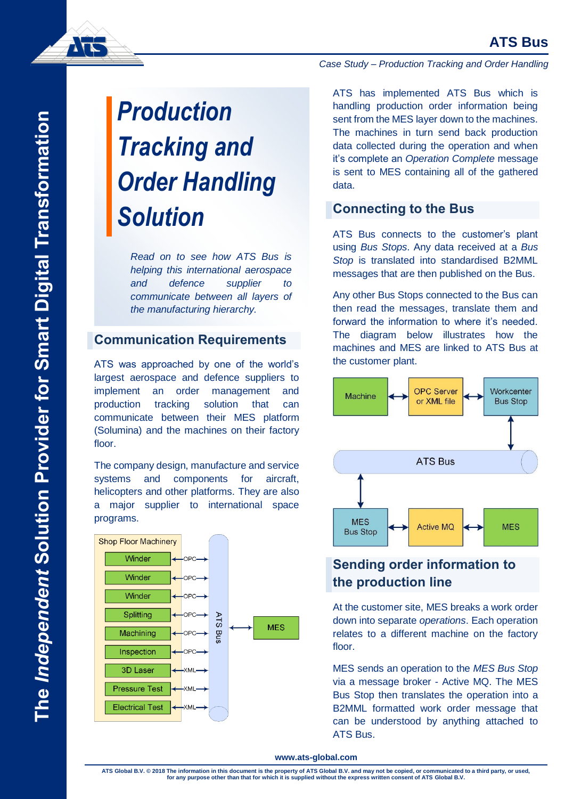*Case Study – Production Tracking and Order Handling*

# *Production Tracking and Order Handling Solution*

*Read on to see how ATS Bus is helping this international aerospace and defence supplier to communicate between all layers of the manufacturing hierarchy.*

### **Communication Requirements**

ATS was approached by one of the world's largest aerospace and defence suppliers to implement an order management and production tracking solution that can communicate between their MES platform (Solumina) and the machines on their factory floor.

The company design, manufacture and service systems and components for aircraft, helicopters and other platforms. They are also a major supplier to international space programs.



ATS has implemented ATS Bus which is handling production order information being sent from the MES layer down to the machines. The machines in turn send back production data collected during the operation and when it's complete an *Operation Complete* message is sent to MES containing all of the gathered data.

### **Connecting to the Bus**

ATS Bus connects to the customer's plant using *Bus Stops*. Any data received at a *Bus Stop* is translated into standardised B2MML messages that are then published on the Bus.

Any other Bus Stops connected to the Bus can then read the messages, translate them and forward the information to where it's needed. The diagram below illustrates how the machines and MES are linked to ATS Bus at the customer plant.



# **Sending order information to the production line**

At the customer site, MES breaks a work order down into separate *operations*. Each operation relates to a different machine on the factory floor.

MES sends an operation to the *MES Bus Stop* via a message broker - Active MQ. The MES Bus Stop then translates the operation into a B2MML formatted work order message that can be understood by anything attached to ATS Bus.

ATS Global B.V. © 2018 The information in this document is the property of ATS Global B.V. and may not be copied, or communicated to a third party, or used,<br>for any purpose other than that for which it is supplied without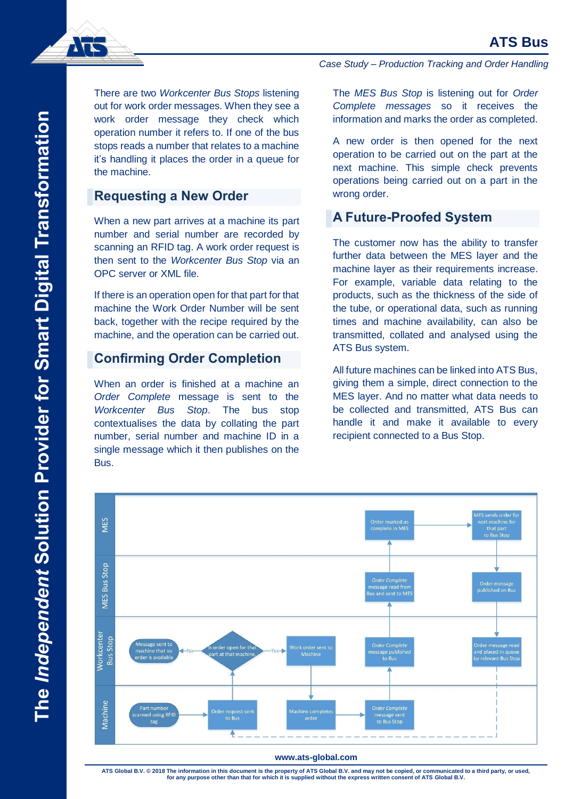

There are two *Workcenter Bus Stops* listening out for work order messages. When they see a work order message they check which operation number it refers to. If one of the bus stops reads a number that relates to a machine it's handling it places the order in a queue for the machine.

### **Requesting a New Order**

When a new part arrives at a machine its part number and serial number are recorded by scanning an RFID tag. A work order request is then sent to the *Workcenter Bus Stop* via an OPC server or XML file.

If there is an operation open for that part for that machine the Work Order Number will be sent back, together with the recipe required by the machine, and the operation can be carried out.

### **Confirming Order Completion**

When an order is finished at a machine an *Order Complete* message is sent to the *Workcenter Bus Stop*. The bus stop contextualises the data by collating the part number, serial number and machine ID in a single message which it then publishes on the Bus.

*Case Study – Production Tracking and Order Handling*

The *MES Bus Stop* is listening out for *Order Complete messages* so it receives the information and marks the order as completed.

A new order is then opened for the next operation to be carried out on the part at the next machine. This simple check prevents operations being carried out on a part in the wrong order.

### **A Future-Proofed System**

The customer now has the ability to transfer further data between the MES layer and the machine layer as their requirements increase. For example, variable data relating to the products, such as the thickness of the side of the tube, or operational data, such as running times and machine availability, can also be transmitted, collated and analysed using the ATS Bus system.

All future machines can be linked into ATS Bus, giving them a simple, direct connection to the MES layer. And no matter what data needs to be collected and transmitted, ATS Bus can handle it and make it available to every recipient connected to a Bus Stop.



ATS Global B.V. © 2018 The information in this document is the property of ATS Global B.V. and may not be copied, or communicated to a third party, or used,<br>for any purpose other than that for which it is supplied without